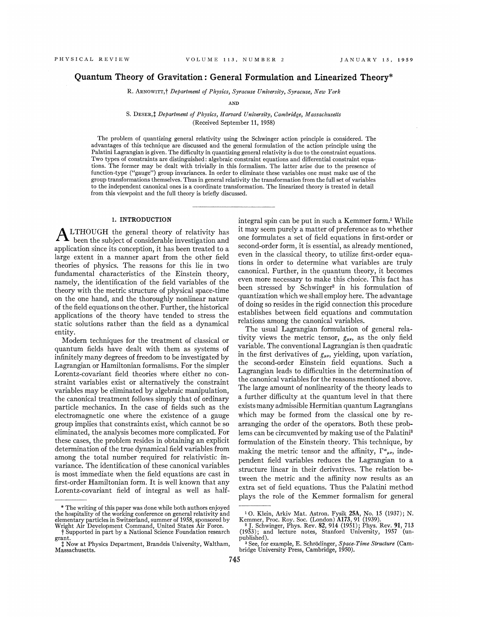# Quantum Theory of Gravitation: General Formulation and Linearized Theory\*

R. ARNOWITT,<sup>†</sup> Department of Physics, Syracuse University, Syracuse, New York

AND

## S. DESER, <sup>†</sup> Department of Physics, Harvard University, Cambridge, Massachusetts (Received September 11, 1958)

The problem of quantizing general relativity using the Schwinger action principle is considered. The advantages of this technique are discussed and the general formulation of the action principle using the Palatini Lagrangian is given. The difficulty in quantizing general relativity is due to the constraint equations. Two types of constraints are distinguished: algebraic constraint equations and differential constraint equations. The former may be dealt with trivially in this formalism. The latter arise due to the presence of function-type ("gauge") group invariances. In order to eliminate these variables one must make use of the group transformations themselves. Thus in general relativity the transformation from the full set of variables to the independent canonical ones is a coordinate transformation. The linearized theory is treated in detail from this viewpoint and the full theory is briefly discussed.

## I. INTRODUCTION

application since its conception, it has been treated to a been the subject of considerable investigation and LTHOUGH the general theory of relativity has large extent in a manner apart from the other field theories of physics. The reasons for this lie in two fundamental characteristics of the Einstein theory, namely, the identification of the field variables of the theory with the metric structure of physical space-time on the one hand, and the thoroughly nonlinear nature of the field equations on the other. Further, the historical applications of the theory have tended to stress the static solutions rather than the field as a dynamical entity.

Modern techniques for the treatment of classical or quantum fields have dealt with them as systems of infinitely many degrees of freedom to be investigated by Lagrangian or Hamiltonian formalisms. For the simpler Lorentz-covariant field theories where either no constraint variables exist or alternatively the constraint variables may be eliminated by algebraic manipulation, the canonical treatment follows simply that of ordinary particle mechanics. In the case of fields such as the electromagnetic one where the existence of a gauge group implies that constraints exist, which cannot be so eliminated, the analysis becomes more complicated. For these cases, the problem resides in obtaining an explicit determination of the true dynamical field variables from among the total number required for relativistic invariance. The identification of these canonical variables is most immediate when the field equations are cast in first-order Hamiltonian form. It is well known that any Lorentz-covariant field of integral as well as half-

integral spin can be put in such a Kemmer form.<sup>1</sup> While it may seem purely a matter of preference as to whether one formulates a set of field equations in first-order or second-order form, it is essential, as already mentioned, even in the classical theory, to utilize first-order equations in order to determine what variables are truly canonical. Further, in the quantum theory, it becomes even more necessary to make this choice. This fact has been stressed by Schwinger<sup>2</sup> in his formulation of quantization which we shall employ here. The advantage of doing so resides in the rigid connection this procedure establishes between field equations and commutation relations among the canonical variables.

The usual Lagrangian formulation of general relativity views the metric tensor,  $g_{\mu\nu}$ , as the only field variable. The conventional Lagrangian is then quadratic in the first derivatives of  $g_{\mu\nu}$ , yielding, upon variation the second-order Einstein field equations. Such a Lagrangian leads to difficulties in the determination of the canonical variables for the reasons mentioned above. The large amount of nonlinearity of the theory leads to a further difficulty at the quantum level in that there exists many admissible Hermitian quantum Lagrangians which may be formed from the classical one by rearranging the order of the operators. Both these problems can be circumvented by making use of the Palatini' formulation of the Einstein theory. This technique, by making the metric tensor and the affinity,  $\Gamma^{\alpha}{}_{\mu\nu}$ , independent field variables reduces the Lagrangian to a structure linear in their derivatives. The relation between the metric and the affinity now results as an extra set of field equations. Thus the Palatini method plays the role of the Kemmer formalism for general

<sup>\*</sup> The writing of this paper was done while both authors enjoyed the hospitality of the working conference on general relativity and elementary particles in Switzerland, summer of 1958, sponsored by

Vhight Air Development Command, United States Air Force. t Supported in part by a National Science Foundation research grant.

f. Now at Physics Department, Brandeis University, Waltham, Massachusetts.

<sup>&</sup>lt;sup>1</sup> O. Klein, Arkiv Mat. Astron. Fysik 25A, No. 15 (1937); N. Kemmer, Proc. Roy. Soc. (London) A173, 91 (1939).<br><sup>2</sup> J. Schwinger, Phys. Rev. 82, 914 (1951); Phys. Rev. 91, 713<br>(1953); and lecture notes, Stanford Universit

<sup>&</sup>lt;sup>3</sup> See, for example, E. Schrödinger, Space-Time Structure (Cambridge University Press, Cambridge, 1950).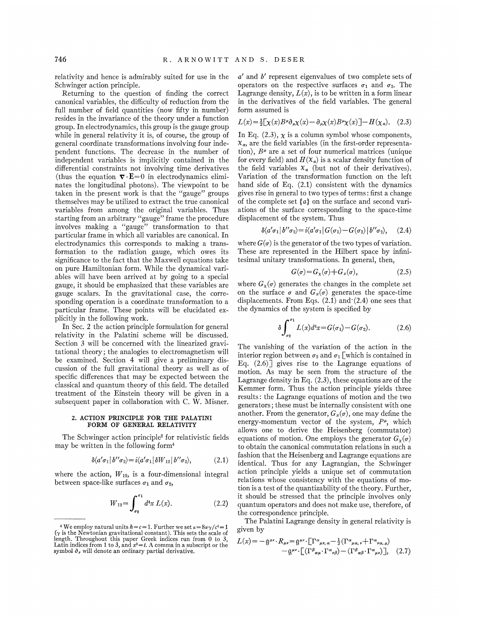relativity and hence is admirably suited for use in the Schwinger action principle.

Returning to the question of finding the correct canonical variables, the difhculty of reduction from the full number of field quantities (now fifty in number) resides in the invariance of the theory under a function group. In electrodynamics, this group is the gauge group while in general relativity it is, of course, the group of general coordinate transformations involving four independent functions. The decrease in the number of independent variables is implicitly contained in the differential constraints not involving time derivatives (thus the equation  $\nabla \cdot \mathbf{E} = 0$  in electrodynamics eliminates the longitudinal photons). The viewpoint to be taken in the present work is that the "gauge" groups themselves may be utilized to extract the true canonical variables from among the original variables. Thus starting from an arbitrary "gauge" frame the procedure involves making a "gauge" transformation to that particular frame in which all variables are canonical. In electrodynamics this corresponds to making a transformation to the radiation gauge, which owes its significance to the fact that the Maxwell equations take on pure Hamiltonian form. While the dynamical variables will have been arrived at by going to a special gauge, it should be emphasized that these variables are gauge scalars. In the gravitational case, the corresponding operation is a coordinate transformation to a particular frame. These points will be elucidated explicitly in the following work.

In Sec. 2 the action principle formulation for general relativity in the Palatini scheme will be discussed. Section 3 will be concerned with the linearized gravitational theory; the analogies to electromagnetism will be examined. Section 4 will give a preliminary discussion of the full gravitational theory as well as of specific differences that may be expected between the classical and quantum theory of this 6eld. The detailed treatment of the Einstein theory will be given in a subsequent paper in collaboration with C. W. Misner.

#### 2. ACTION PRINCIPLE FOR THE PALATINI FORM OF GENERAL RELATIVITY

The Schwinger action principle' for relativistic fields may be written in the following form4

$$
\delta \langle a'\sigma_1 | b''\sigma_2 \rangle = i \langle a'\sigma_1 | \delta W_{12} | b''\sigma_2 \rangle, \tag{2.1}
$$

where the action,  $W_{12}$ , is a four-dimensional integral between space-like surfaces  $\sigma_1$  and  $\sigma_2$ ,

$$
W_{12} = \int_{\sigma_2}^{\sigma_1} d^4x \, L(x). \tag{2.2}
$$

a' and b' represent eigenvalues of two complete sets of operators on the respective surfaces  $\sigma_1$  and  $\sigma_2$ . The Lagrange density,  $L(x)$ , is to be written in a form linear in the derivatives of the field variables. The general form assumed is

$$
L(x) = \frac{1}{2} \left[ \chi(x) B^{\mu} \partial_{\mu} \chi(x) - \partial_{\mu} \chi(x) B^{\mu} \chi(x) \right] - H(\chi_a). \quad (2.3)
$$

In Eq.  $(2.3)$ ,  $\chi$  is a column symbol whose components,  $x_a$ , are the field variables (in the first-order representation),  $B^{\mu}$  are a set of four numerical matrices (unique for every field) and  $H(\mathcal{X}_a)$  is a scalar density function of the field variables  $x_a$  (but not of their derivatives). Variation of the transformation function on the left hand side of Eq. (2.1) consistent with the dynamics gives rise in general to two types of terms: first a change of the complete set  $\{a\}$  on the surface and second variations of the surface corresponding to the space-time displacement of the system. Thus

$$
\delta \langle a'\sigma_1 | b''\sigma_2 \rangle = i \langle a'\sigma_1 | G(\sigma_1) - G(\sigma_2) | b''\sigma_2 \rangle, \quad (2.4)
$$

where  $G(\sigma)$  is the generator of the two types of variation. These are represented in the Hilbert space by infinitesimal unitary transformations. In general, then,

$$
G(\sigma) = G_{\chi}(\sigma) + G_{x}(\sigma), \tag{2.5}
$$

where  $G_{\chi}(\sigma)$  generates the changes in the complete set on the surface  $\sigma$  and  $G_x(\sigma)$  generates the space-time displacements. From Eqs.  $(2.1)$  and  $(2.4)$  one sees that the dynamics of the system is specified by

$$
\delta \int_{\sigma_2}^{\sigma_1} L(x) d^4x = G(\sigma_1) - G(\sigma_2). \tag{2.6}
$$

The vanishing of the variation of the action in the interior region between  $\sigma_2$  and  $\sigma_1$  which is contained in Eq.  $(2.6)$  gives rise to the Lagrange equations of motion. As may be seen. from the structure of the Lagrange density in Eq. (2.3), these equations are of the Kemmer form. Thus the action principle yields three results: the Lagrange equations of motion and the two generators; these must be internally consistent with one another. From the generator,  $G_x(\sigma)$ , one may define the energy-momentum vector of the system,  $P^{\mu}$ , which allows one to derive the Heisenberg (commutator) equations of motion. One employs the generator  $G_{\gamma}(\sigma)$ to obtain the canonical commutation relations in such a fashion that the Heisenberg and Lagrange equations are identical. Thus for any Lagrangian, the Schwinger action principle yields a unique set of commutation relations whose consistency with the equations of motion is a test of the quantizability of the theory. Further, it should be stressed that the principle involves only quantum operators and does not make use, therefore, of the correspondence principle.

The Palatini Lagrange density in general relativity is given by

$$
L(x) = -\mathfrak{g}^{\mu\nu} \cdot R_{\mu\nu} = \mathfrak{g}^{\mu\nu} \cdot \left[ \Gamma^{\alpha}{}_{\mu\nu,\alpha} - \frac{1}{2} (\Gamma^{\alpha}{}_{\mu\alpha,\nu} + \Gamma^{\alpha}{}_{\nu\alpha,\mu}) - \mathfrak{g}^{\mu\nu} \cdot \left[ (\Gamma^{\beta}{}_{\alpha\mu} \cdot \Gamma^{\alpha}{}_{\nu\beta}) - (\Gamma^{\beta}{}_{\alpha\beta} \cdot \Gamma^{\alpha}{}_{\mu\nu}) \right], \quad (2.7)
$$

<sup>&</sup>lt;sup>4</sup> We employ natural units  $\hbar = c = 1$ . Further we set  $\kappa = 8\pi\gamma/c^4 = 1$ ( $\gamma$  is the Newtonian gravitational constant). This sets the scale of length. Throughout this paper Greek indices run from 0 to 3, Latin indices from 1 to 3, and  $x^0 = t$ . A comma in a subscript or the symbol  $\partial_y$  will denote an ordinary partial derivative,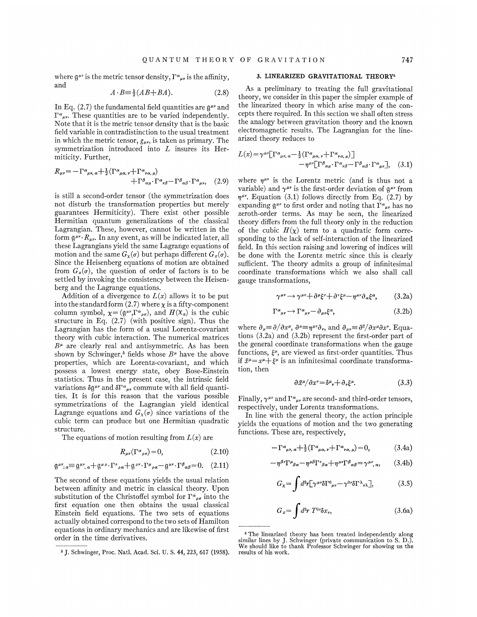where  $\mathfrak{g}^{\mu\nu}$  is the metric tensor density,  $\Gamma^{\alpha}{}_{\mu\nu}$  is the affinity, and

$$
A \cdot B \equiv \frac{1}{2}(AB + BA). \tag{2.8}
$$

In Eq. (2.7) the fundamental field quantities are  $\mathfrak{a}^{\mu\nu}$  and  $\Gamma^{\alpha}{}_{\mu\nu}$ . These quantities are to be varied independently. Note that it is the metric tensor density that is the basic field variable in contradistinction to the usual treatment in which the metric tensor,  $g_{\mu\nu}$ , is taken as primary. The symmetrization introduced into  $L$  insures its Hermiticity. Further,

$$
R_{\mu\nu} = -\Gamma^{\alpha}{}_{\mu\nu,\,\alpha} + \frac{1}{2} (\Gamma^{\alpha}{}_{\mu\alpha,\,\nu} + \Gamma^{\alpha}{}_{\nu\alpha,\,\mu}) + \Gamma^{\beta}{}_{\alpha\mu} \cdot \Gamma^{\alpha}{}_{\nu\beta} - \Gamma^{\beta}{}_{\alpha\beta} \cdot \Gamma^{\alpha}{}_{\mu\nu}, \quad (2.9)
$$

is still a second-order tensor (the symmetrization does not disturb the transformation properties but merely guarantees Hermiticity). There exist other possible Hermitian quantum generalizations of the classical Lagrangian. These, however, cannot be written in the form  $\mathfrak{g}^{\mu\nu} \cdot R_{\mu\nu}$ . In any event, as will be indicated later, all these Lagrangians yield the same Lagrange equations of motion and the same  $G_{\alpha}(\sigma)$  but perhaps different  $G_{\alpha}(\sigma)$ . Since the Heisenberg equations of motion are obtained from  $G_x(\sigma)$ , the question of order of factors is to be settled by invoking the consistency between the Heisenberg and the Lagrange equations.

Addition of a divergence to  $L(x)$  allows it to be put into the standard form (2.7) where  $\chi$  is a fifty-component column symbol,  $\chi = (g^{\mu\nu}, \Gamma^{\alpha}{}_{\rho\sigma})$ , and  $H(\chi_{\alpha})$  is the cubic structure in Eq. (2.7) (with positive sign). Thus the Lagrangian has the form of a usual Lorentz-covariant theory with cubic interaction. The numerical matrices  $B^{\mu}$  are clearly real and antisymmetric. As has been shown by Schwinger,<sup>5</sup> fields whose  $B^{\mu}$  have the above properties, which are Lorentz-covariant, and which possess a lowest energy state, obey Bose-Einstein statistics. Thus in the present case, the intrinsic field variations  $\delta g^{\mu\nu}$  and  $\delta \Gamma^{\alpha}{}_{\mu\nu}$  commute with all field quantities. It is for this reason that the various possible symmetrizations of the Lagrangian yield identical Lagrange equations and  $G_{\chi}(\sigma)$  since variations of the cubic term can produce but one Hermitian quadratic structure.

The equations of motion resulting from  $L(x)$  are

$$
R_{\mu\nu}(\Gamma^{\alpha}{}_{\rho\sigma}) = 0,\tag{2.10}
$$

$$
\mathfrak{g}^{\mu\nu}{}_{;\alpha} \equiv \mathfrak{g}^{\mu\nu}{}_{,\alpha} + \mathfrak{g}^{\mu\rho} \cdot \Gamma^{\nu}{}_{\rho\alpha} + \mathfrak{g}^{\rho\nu} \cdot \Gamma^{\mu}{}_{\rho\alpha} - \mathfrak{g}^{\mu\nu} \cdot \Gamma^{\beta}{}_{\alpha\beta} = 0. \quad (2.11)
$$

The second of these equations yields the usual relation between affinity and metric in classical theory. Upon<br>substitution of the Christoffel symbol for  $\Gamma^{\alpha}{}_{\rho\sigma}$  into the<br>first, equation, one, then obtains, the upued eleccion first equation one then obtains the usual classical Einstein field equations. The two sets of equations actually obtained correspond to the two sets of Hamilton equations in ordinary mechanics and are likewise of first order in the time derivatives.

### 3. LINEARIZED GRAVITATIONAL THEORY<sup>6</sup>

As a preliminary to treating the full gravitational theory, we consider in this paper the simpler example of the linearized theory in which arise many of the concepts there required. In this section we shall often stress the analogy between gravitation theory and the known electromagnetic results. The Lagrangian for the linearized theory reduces to

$$
L(x) = \gamma^{\mu\nu} \left[ \Gamma^{\alpha}{}_{\mu\nu,\,\alpha} - \frac{1}{2} \left( \Gamma^{\alpha}{}_{\mu\alpha,\,\nu} + \Gamma^{\alpha}{}_{\nu\alpha,\,\mu} \right) \right] - \eta^{\mu\nu} \left[ \Gamma^{\beta}{}_{\alpha\mu} \cdot \Gamma^{\alpha}{}_{\nu\beta} - \Gamma^{\beta}{}_{\alpha\beta} \cdot \Gamma^{\alpha}{}_{\mu\nu} \right], \quad (3.1)
$$

where  $\eta^{\mu\nu}$  is the Lorentz metric (and is thus not a variable) and  $\gamma^{\mu\nu}$  is the first-order deviation of  $\mathfrak{g}^{\mu\nu}$  from  $\eta^{\mu\nu}$ . Equation (3.1) follows directly from Eq. (2.7) by expanding  $\mathfrak{g}^{\mu\nu}$  to first order and noting that  $\Gamma^{\alpha}{}_{\mu\nu}$  has no zeroth-order terms. As may be seen, the linearized theory differs from the full theory only in the reduction of the cubic  $H(\chi)$  term to a quadratic form corresponding to the lack of self-interaction of the linearized field. In this section raising and lowering of indices will be done with the Lorentz metric since this is clearly sufficient. The theory admits a group of infinitesimal coordinate transformations which we also shall call gauge transformations,

$$
\gamma^{\mu\nu} \to \gamma^{\mu\nu} + \partial^{\mu}\xi^{\nu} + \partial^{\nu}\xi^{\mu} - \eta^{\mu\nu}\partial_{\alpha}\xi^{\alpha}, \qquad (3.2a)
$$

$$
\Gamma^{\alpha}{}_{\mu\nu} \to \Gamma^{\alpha}{}_{\mu\nu} - \partial_{\mu\nu}\xi^{\alpha},\tag{3.2b}
$$

where  $\partial_{\mu} \equiv \partial/\partial x^{\mu}$ ,  $\partial^{\mu} \equiv \eta^{\mu\nu} \partial_{\nu}$ , and  $\partial_{\mu\nu} \equiv \partial^2/\partial x^{\mu} \partial x^{\nu}$ . Equations (3.2a) and (3.2b) represent the first-order part of the general coordinate transformations when the gauge functions,  $\xi^{\mu}$ , are viewed as first-order quantities. Thus if  $\bar{x}^{\mu} = x^{\mu} + \xi^{\mu}$  is an infinitesimal coordinate transformation, then

$$
\frac{\partial \bar{x}^{\mu}}{\partial x^{\nu}} = \delta^{\mu}{}_{\nu} + \partial_{\nu}\xi^{\mu}.
$$
 (3.3)

Finally,  $\gamma^{\mu\nu}$  and  $\Gamma^{\alpha}{}_{\mu\nu}$  are second- and third-order tensors, respectively, under Lorentz transformations.

In line with the general theory, the action principle yields the equations of motion and the two generating functions. These are, respectively,

$$
-\Gamma^{\alpha}{}_{\mu\nu,\,\alpha} + \frac{1}{2} (\Gamma^{\alpha}{}_{\mu\alpha,\,\nu} + \Gamma^{\alpha}{}_{\nu\alpha,\,\mu}) = 0, \tag{3.4a}
$$

$$
-\eta^{\beta\gamma}\Gamma^{\mu}{}_{\beta\alpha}-\eta^{\mu\beta}\Gamma^{\nu}{}_{\beta\alpha}+\eta^{\mu\gamma}\Gamma^{\beta}{}_{\alpha\beta}=\gamma^{\mu\nu}{}_{,\alpha},\qquad(3.4b)
$$

$$
G_{\chi} = \int d^3r \left[ \gamma^{\mu\nu} \delta \Gamma^0{}_{\mu\nu} - \gamma^{0\nu} \delta \Gamma^{\lambda}{}_{\nu\lambda} \right],\tag{3.5}
$$

$$
G_x = \int d^3r \; T^{0r} \delta x_r,\tag{3.6a}
$$

<sup>~</sup> J. Schwinger, Proc. Natl. Acad. Sri. U. S. 44, 223, 617 (1958).

<sup>&</sup>lt;sup>6</sup> The linearized theory has been treated independently along similar lines by J. Schwinger (private communication to S. D.). We should like to thank Professor Schwinser for showing us the results of his work.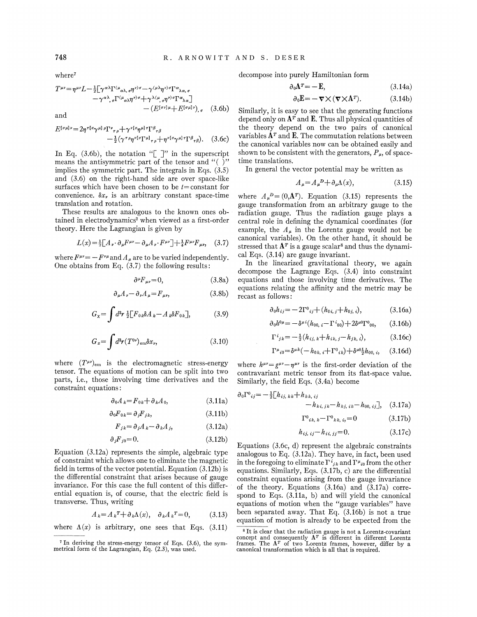where'

$$
T^{\mu\nu} = \eta^{\mu\nu} L - \frac{1}{2} [\gamma^{\alpha\lambda} \Gamma^{(\mu}{}_{\alpha\lambda,\sigma} \eta^{\nu)}{}^{\sigma} - \gamma^{(\mu\lambda} \eta^{\nu)}{}^{\sigma} \Gamma^{\alpha}{}_{\lambda\alpha,\sigma} - \gamma^{\alpha\lambda}{}_{,\sigma} \Gamma^{(\mu}{}_{\alpha\lambda} \eta^{\nu)}{}^{\sigma} + \gamma^{\lambda(\mu}{}_{,\sigma} \eta^{\nu)}{}^{\sigma} \Gamma^{\alpha}{}_{\lambda\alpha}] - (E^{[\sigma\nu]\mu} + E^{[\sigma\mu]\nu}){}_{,\sigma}
$$
 (3.6b)

and

$$
E^{[\sigma\mu]\nu} = 2\eta^{\tau[\sigma}\gamma^{\mu]\rho}\Gamma^{\nu}{}_{\tau\rho} + \gamma^{\nu[\sigma}\eta^{\mu]\tau}\Gamma^{\beta}{}_{\tau\beta} - \frac{1}{2}(\gamma^{\tau\rho}\eta^{\nu[\sigma}\Gamma^{\mu]}{}_{\tau\rho} + \eta^{\nu[\sigma}\gamma^{\mu]\tau}\Gamma^{\beta}{}_{\tau\beta}).
$$
 (3.6c)

In Eq. (3.6b), the notation " $\lbrack \rbrack$ " in the superscript means the antisymmetric part of the tensor and " $( )$ " implies the symmetric part. The integrals in Eqs. (3.5) and (3.6) on the right-hand side are over space-like surfaces which have been chosen to be  $t=$  constant for convenience.  $\delta x_{\nu}$  is an arbitrary constant space-time translation and rotation.

These results are analogous to the known ones ob- tained in electrodynamics' when viewed as a first-order theory. Here the Lagrangian is given by

$$
L(x) = \frac{1}{2} \left[ A_{\nu} \cdot \partial_{\mu} F^{\mu\nu} - \partial_{\mu} A_{\nu} \cdot F^{\mu\nu} \right] + \frac{1}{4} F^{\mu\nu} F_{\mu\nu}, \quad (3.7)
$$

where  $F^{\mu\nu} = -F^{\nu\mu}$  and  $A_\mu$  are to be varied independently. One obtains from Eq. (3.7) the following results:

$$
\partial^{\mu}F_{\mu\nu}=0,\t\t(3.8a)
$$

$$
\partial_{\mu}A_{\nu} - \partial_{\nu}A_{\mu} = F_{\mu\nu}, \qquad (3.8b)
$$

$$
G_{\chi} = \int d^3r \; \frac{1}{2} \big[ F_{0k} \delta A_k - A_k \delta F_{0k} \big], \tag{3.9}
$$

$$
G_x = \int d^3r (T^{0\nu})_{\rm em} \delta x_\nu, \tag{3.10}
$$

where  $(T^{\mu\nu})_{\text{em}}$  is the electromagnetic stress-energy tensor. The equations of motion can be split into two parts, i.e., those involving time derivatives and the constraint equations:

$$
\partial_0 A_k = F_{0k} + \partial_k A_0, \qquad (3.11a)
$$

$$
\partial_0 F_{0k} = \partial_j F_{jk},\tag{3.11b}
$$

$$
F_{jk} = \partial_j A_k - \partial_k A_j, \qquad (3.12a)
$$

$$
\partial_j F_{j0} = 0. \tag{3.12b}
$$

Equation (3.12a) represents the simple, algebraic type of constraint which allows one to eliminate the magnetic field in terms of the vector potential. Equation (3.12b) is the differential constraint that arises because of gauge invariance. For this case the full content of this differential equation is, of course, that the electric field is transverse. Thus, writing

$$
A_k = A_k^T + \partial_k \Lambda(x), \quad \partial_k A_k^T = 0, \tag{3.13}
$$

where  $\Lambda(x)$  is arbitrary, one sees that Eqs. (3.11)

decompose into purely Hamiltonian form

$$
\partial_0 \mathbf{A}^T = -\mathbf{E},\tag{3.14a}
$$

$$
\partial_0 \mathbf{E} = -\nabla \times (\nabla \times \mathbf{A}^T). \tag{3.14b}
$$

Similarly, it is easy to see that the generating functions depend only on  $A<sup>T</sup>$  and **E**. Thus all physical quantities of the theory depend on the two pairs of canonical variables  $A<sup>T</sup>$  and **E**. The commutation relations between the canonical variables now can be obtained easily and shown to be consistent with the generators,  $P_{\mu}$ , of spacetime translations.

In general the vector potential may be written as

$$
A_{\mu} = A_{\mu}{}^{D} + \partial_{\mu} \Lambda(x), \qquad (3.15)
$$

where  $A_{\mu}^{D}=(0,\mathbf{A}^{T})$ . Equation (3.15) represents the gauge transformation from an arbitrary gauge to the radiation gauge. Thus the radiation gauge plays a central role in defining the dynamical coordinates (for example, the  $A_{\mu}$  in the Lorentz gauge would not be canonical variables). On the other hand, it should be stressed that  $A<sup>T</sup>$  is a gauge scalar<sup>8</sup> and thus the dynamical Eqs. (3.14) are gauge invariant.

In the linearized gravitational theory, we again decompose the Lagrange Eqs. (3.4) into constraint equations and those involving time derivatives. The equations relating the affinity and the metric may be recast as follows:

$$
\partial_0 h_{ij} = -2\Gamma^0{}_{ij} + (h_{0i, j} + h_{0j, i}), \tag{3.16a}
$$

$$
\partial_0 h^{0\mu} = -\delta^{\mu i} (h_{00, i} - \Gamma^{i}_{00}) + 2\delta^{\mu 0} \Gamma^{0}_{00}, \qquad (3.16b)
$$

$$
\Gamma^{i}_{jk} = -\frac{1}{2}(h_{ij,k} + h_{ik,j} - h_{jk,i}), \qquad (3.16c)
$$

$$
\Gamma^{\mu}{}_{i0} = \delta^{\mu}{}^{k}(-h_{0k, i} + \Gamma^{0}{}_{ik}) + \delta^{\mu 0}{}_{2}^{1}h_{00, i}, \quad (3.16d)
$$

where  $h^{\mu\nu} = g^{\mu\nu} - \eta^{\mu\nu}$  is the first-order deviation of the contravariant metric tensor from its flat-space value. Similarly, the field Eqs. (3.4a) become

$$
\partial_0 \Gamma^0_{\ ij} = -\frac{1}{2} \left[ h_{ij,\ kk} + h_{kk,\ ij} - h_{kj,\ ik} - h_{kj,\ ik} - h_{00,\ ij} \right], \quad (3.17a)
$$

$$
\Gamma^0{}_{ik, k} - \Gamma^0{}_{kk, i} = 0 \tag{3.17b}
$$

$$
h_{ij, ij} - h_{ii, jj} = 0.
$$
 (3.17c)

Equations (3.6c, d) represent the algebraic constraints analogous to Eq. (3.12a). They have, in fact, been used in the foregoing to eliminate  $\Gamma^{i}{}_{jk}$  and  $\Gamma^{\mu}{}_{i0}$  from the other equations. Similarly, Eqs. (3.17b, c) are the differential constraint equations arising from the gauge invariance of the theory. Equations (3.16a) and (3.17a) correspond to Eqs. (3.11a, b) and will yield the canonical equations of motion when the "gauge variables" have been separated away. That Eq. (3.16b) is not a true equation of motion is already to be expected from the

748

<sup>r</sup> In deriving the stress-energy tensor oi Eqs. (3.6), the symmetrical form of the Lagrangian, Eq.  $(2.3)$ , was used.

<sup>&</sup>lt;sup>8</sup> It is clear that the radiation gauge is not a Lorentz-covariant concept and consequently  $A<sup>T</sup>$  is different in different Lorentz frames. The  $A<sup>T</sup>$  of two Lorentz frames, however, differ by a canonical transfor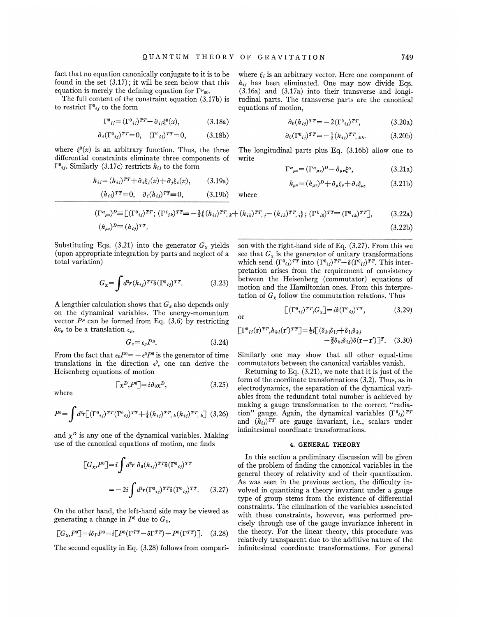fact that no equation canonically conjugate to it is to be found in the set  $(3.17)$ ; it will be seen below that this equation is merely the defining equation for  $\Gamma^{\mu}{}_{00}$ .

The full content of the constraint equation (3.17b) is to restrict  $\Gamma^0{}_{ij}$  to the form

$$
\Gamma^0{}_{ij} = (\Gamma^0{}_{ij})^{TT} - \partial_{ij}\xi^0(x),\tag{3.18a}
$$

$$
\partial_i (\Gamma^0{}_{ij})^{TT} = 0, \quad (\Gamma^0{}_{ii})^{TT} = 0, \tag{3.18b}
$$

where  $\xi^0(x)$  is an arbitrary function. Thus, the three differential constraints eliminate three components of  $\Gamma^0_{ij}$ . Similarly (3.17c) restricts  $h_{ij}$  to the form

$$
h_{ij} = (h_{ij})^{TT} + \partial_i \xi_j(x) + \partial_j \xi_i(x), \qquad (3.19a)
$$

$$
(h_{ii})^{TT} = 0, \quad \partial_i (h_{ij})^{TT} = 0,
$$
 (3.19b)

where  $\xi_i$  is an arbitrary vector. Here one component of  $h_{ij}$  has been eliminated. One may now divide Eqs. (3.16a) and (3.17a) into their transverse and longitudinal parts. The transverse parts are the canonical equations of motion,

$$
\partial_0(h_{ij})^{TT} = -2(\Gamma^0_{ij})^{TT}, \qquad (3.20a)
$$

$$
\partial_0 (\Gamma^0{}_{ij})^{TT} = -\frac{1}{2} (h_{ij})^{TT}, \, k \, . \tag{3.20b}
$$

The longitudinal parts plus Eq. (3.16b) allow one to write

$$
\Gamma^{\alpha}{}_{\mu\nu} = (\Gamma^{\alpha}{}_{\mu\nu})^D - \partial_{\mu\nu}\xi^{\alpha},\tag{3.21a}
$$

$$
h_{\mu\nu} = (h_{\mu\nu})^D + \partial_{\mu}\xi_{\nu} + \partial_{\nu}\xi_{\mu},\tag{3.21b}
$$

$$
(\Gamma^{\alpha}{}_{\mu\nu})^{D} \equiv \left[ (\Gamma^{0}{}_{ij})^{TT}; (\Gamma^{i}{}_{jk})^{TT} \equiv -\frac{1}{2} \{ (h_{ij})^{TT}, k + (h_{ik})^{TT}, j - (h_{jk})^{TT}, i \}; (\Gamma^{k}{}_{i0})^{TT} \equiv (\Gamma^{0}{}_{ik})^{TT} \right],
$$
 (3.22a)  
\n
$$
(h_{\mu\nu})^{D} \equiv (h_{ij})^{TT}.
$$
 (3.22b)

where

or

(3.22b)

Substituting Eqs. (3.21) into the generator  $G_x$  yields (upon appropriate integration by parts and neglect of a total variation)

$$
G_{\mathbf{x}} = \int d^3r (h_{ij})^{TT} \delta(\Gamma^0_{ij})^{TT}.
$$
 (3.23)

A lengthier calculation shows that  $G_x$  also depends only on the dynamical variables. The energy-momentum vector  $P^{\mu}$  can be formed from Eq. (3.6) by restricting  $\delta x_{\mu}$  to be a translation  $\epsilon_{\mu}$ ,

$$
G_x = \epsilon_\mu P^\mu. \tag{3.24}
$$

 $\lceil \chi^D P^0 \rceil = i \partial_0 \chi^D,$  (3.25)

From the fact that  $\epsilon_0 P^0 = -\epsilon^0 P^0$  is the generator of time translations in the direction  $\epsilon^0$ , one can derive the Heisenberg equations of motion

where

$$
P^{0} = \int d^{3}r \left[ (\Gamma^{0}{}_{ij})^{TT} (\Gamma^{0}{}_{ij})^{TT} + \frac{1}{4} (h_{ij})^{TT} \right]_{k} (h_{ij})^{TT} \left[ (3.26) \right]
$$

and  $\chi^D$  is any one of the dynamical variables. Making use of the canonical equations of motion, one finds

$$
[G_{\chi}, P^0] = i \int d^3r \ \partial_0 (h_{ij})^T T \delta(\Gamma^0_{ij})^T T
$$
\n
$$
= -2i \int d^3r (\Gamma^0_{ij})^T T \delta(\Gamma^0_{ij})^T T. \qquad (3.27)
$$
\n
$$
= -2i \int d^3r (\Gamma^0_{ij})^T T \delta(\Gamma^0_{ij})^T T. \qquad (3.28)
$$

On the other hand, the left-hand side may be viewed as generating a change in  $P^0$  due to  $G_x$ ,

$$
[G_{\chi}, P^0] = i\delta_{\Gamma} P^0 = i[P^0(\Gamma^{TT} - \delta \Gamma^{TT}) - P^0(\Gamma^{TT})]. \quad (3.28)
$$

The second equality in Eq. (3.28) follows from compari-

son with the right-hand side of Eq. (3.27). From this we see that  $G_x$  is the generator of unitary transformations which send  $(\Gamma^0_{ij})^{TT}$  into  $(\Gamma^0_{ij})^{TT} - \delta(\Gamma^0_{ij})^{TT}$ . This interpretation arises from the requirement of consistency between the Heisenberg (commutator) equations of motion and the Hamiltonian ones. From this interpretation of  $G_x$  follow the commutation relations. Thus

$$
\left[ (\Gamma^0_{ij})^{TT} G_\chi \right] = i\delta (\Gamma^0_{ij})^{TT},\tag{3.29}
$$

$$
\begin{aligned} \left[\Gamma^{0}{}_{ij}(\mathbf{r})^{TT},h_{kl}(\mathbf{r}')^{TT}\right] &= \frac{1}{2}i\left[\left(\delta_{ki}\delta_{lj} + \delta_{li}\delta_{kj} - \frac{2}{3}\delta_{kl}\delta_{ij}\right)\delta(\mathbf{r} - \mathbf{r}')\right]^{T}.\end{aligned} \tag{3.30}
$$

Similarly one may show that all other equal-time commutators between the canonical variables vanish.

Returning to Eq.  $(3.21)$ , we note that it is just of the form of the coordinate transformations (3.2). Thus, as in electrodynamics, the separation of the dynamical variables from the redundant total number is achieved by making a gauge transformation to the correct "radiation" gauge. Again, the dynamical variables  $(\Gamma^0_{ij})^{TT}$ and  $(h_{ij})^{TT}$  are gauge invariant, i.e., scalars under infinitesimal coordinate transformations.

#### 4. GENERAL THEORY

In this section a preliminary discussion will be given of the problem of 6nding the canonical variables in the general theory of relativity and of their quantization. As was seen in the previous section, the difhculty involved in quantizing a theory invariant under a gauge type of group stems from the existence of differential constraints. The elimination of the variables associated with these constraints, however, was performed precisely through use of the gauge invariance inherent in the theory. For the linear theory, this procedure was relatively transparent due to the additive nature of the infinitesimal coordinate transformations. For general